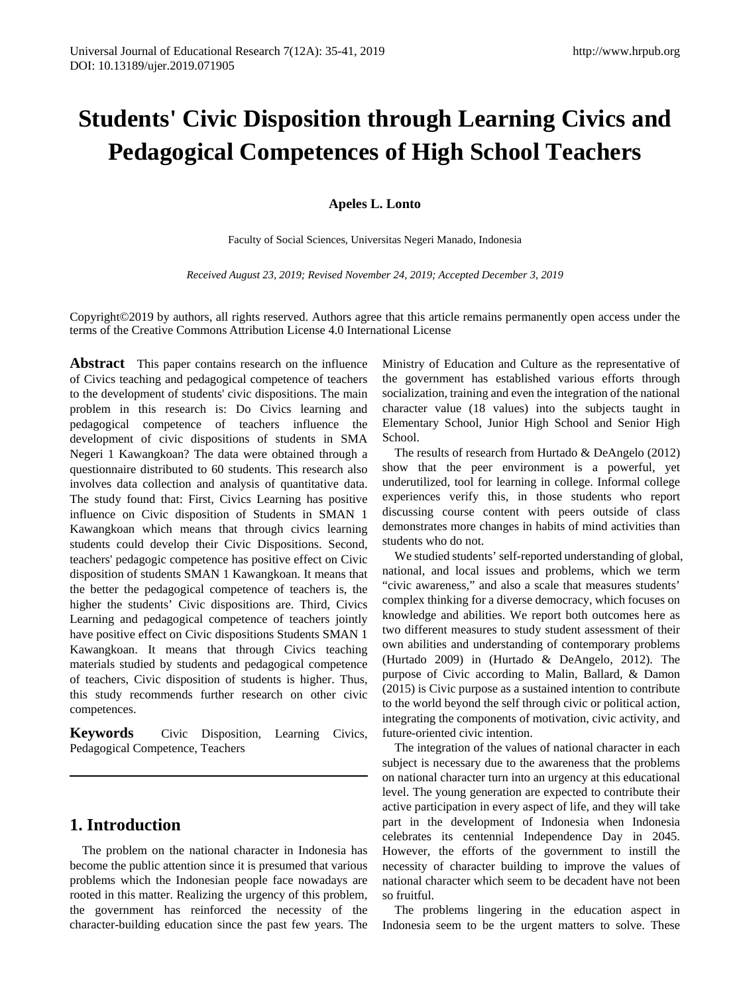# **Students' Civic Disposition through Learning Civics and Pedagogical Competences of High School Teachers**

**Apeles L. Lonto**

Faculty of Social Sciences, Universitas Negeri Manado, Indonesia

*Received August 23, 2019; Revised November 24, 2019; Accepted December 3, 2019*

Copyright©2019 by authors, all rights reserved. Authors agree that this article remains permanently open access under the terms of the Creative Commons Attribution License 4.0 International License

**Abstract** This paper contains research on the influence of Civics teaching and pedagogical competence of teachers to the development of students' civic dispositions. The main problem in this research is: Do Civics learning and pedagogical competence of teachers influence the development of civic dispositions of students in SMA Negeri 1 Kawangkoan? The data were obtained through a questionnaire distributed to 60 students. This research also involves data collection and analysis of quantitative data. The study found that: First, Civics Learning has positive influence on Civic disposition of Students in SMAN 1 Kawangkoan which means that through civics learning students could develop their Civic Dispositions. Second, teachers' pedagogic competence has positive effect on Civic disposition of students SMAN 1 Kawangkoan. It means that the better the pedagogical competence of teachers is, the higher the students' Civic dispositions are. Third, Civics Learning and pedagogical competence of teachers jointly have positive effect on Civic dispositions Students SMAN 1 Kawangkoan. It means that through Civics teaching materials studied by students and pedagogical competence of teachers, Civic disposition of students is higher. Thus, this study recommends further research on other civic competences.

**Keywords** Civic Disposition, Learning Civics, Pedagogical Competence, Teachers

# **1. Introduction**

The problem on the national character in Indonesia has become the public attention since it is presumed that various problems which the Indonesian people face nowadays are rooted in this matter. Realizing the urgency of this problem, the government has reinforced the necessity of the character-building education since the past few years. The Ministry of Education and Culture as the representative of the government has established various efforts through socialization, training and even the integration of the national character value (18 values) into the subjects taught in Elementary School, Junior High School and Senior High School.

The results of research from Hurtado & DeAngelo (2012) show that the peer environment is a powerful, yet underutilized, tool for learning in college. Informal college experiences verify this, in those students who report discussing course content with peers outside of class demonstrates more changes in habits of mind activities than students who do not.

We studied students' self-reported understanding of global, national, and local issues and problems, which we term "civic awareness," and also a scale that measures students' complex thinking for a diverse democracy, which focuses on knowledge and abilities. We report both outcomes here as two different measures to study student assessment of their own abilities and understanding of contemporary problems (Hurtado 2009) in (Hurtado & DeAngelo, 2012). The purpose of Civic according to Malin, Ballard, & Damon (2015) is Civic purpose as a sustained intention to contribute to the world beyond the self through civic or political action, integrating the components of motivation, civic activity, and future-oriented civic intention.

The integration of the values of national character in each subject is necessary due to the awareness that the problems on national character turn into an urgency at this educational level. The young generation are expected to contribute their active participation in every aspect of life, and they will take part in the development of Indonesia when Indonesia celebrates its centennial Independence Day in 2045. However, the efforts of the government to instill the necessity of character building to improve the values of national character which seem to be decadent have not been so fruitful.

The problems lingering in the education aspect in Indonesia seem to be the urgent matters to solve. These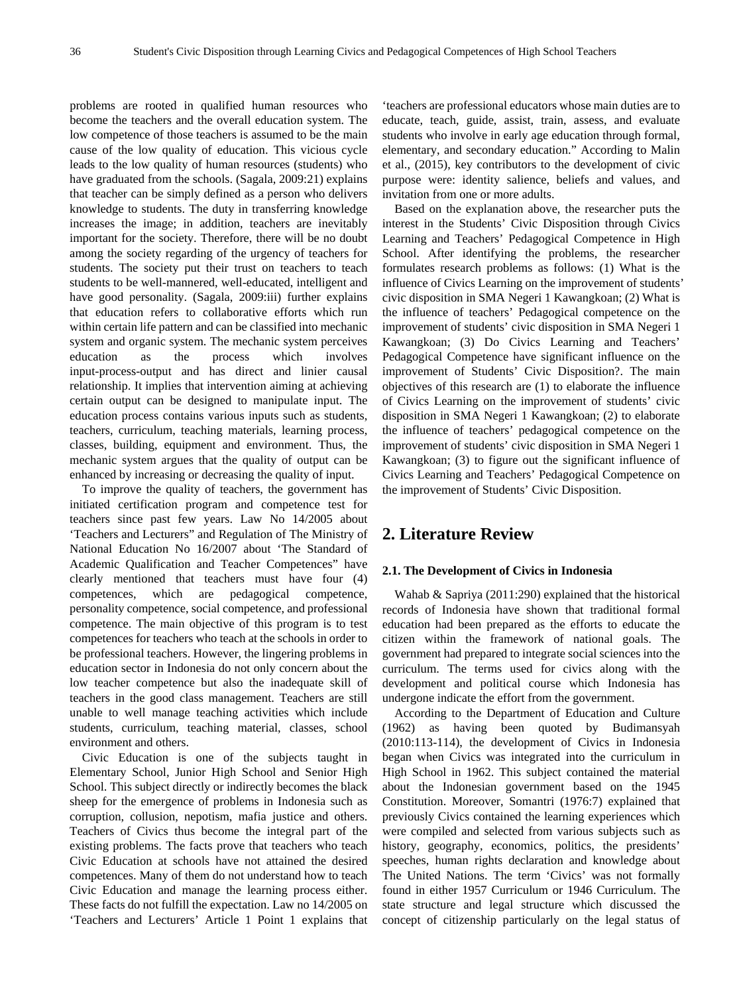problems are rooted in qualified human resources who become the teachers and the overall education system. The low competence of those teachers is assumed to be the main cause of the low quality of education. This vicious cycle leads to the low quality of human resources (students) who have graduated from the schools. (Sagala, 2009:21) explains that teacher can be simply defined as a person who delivers knowledge to students. The duty in transferring knowledge increases the image; in addition, teachers are inevitably important for the society. Therefore, there will be no doubt among the society regarding of the urgency of teachers for students. The society put their trust on teachers to teach students to be well-mannered, well-educated, intelligent and have good personality. (Sagala, 2009:iii) further explains that education refers to collaborative efforts which run within certain life pattern and can be classified into mechanic system and organic system. The mechanic system perceives education as the process which involves input-process-output and has direct and linier causal relationship. It implies that intervention aiming at achieving certain output can be designed to manipulate input. The education process contains various inputs such as students, teachers, curriculum, teaching materials, learning process, classes, building, equipment and environment. Thus, the mechanic system argues that the quality of output can be enhanced by increasing or decreasing the quality of input.

To improve the quality of teachers, the government has initiated certification program and competence test for teachers since past few years. Law No 14/2005 about 'Teachers and Lecturers" and Regulation of The Ministry of National Education No 16/2007 about 'The Standard of Academic Qualification and Teacher Competences" have clearly mentioned that teachers must have four (4) competences, which are pedagogical competence, personality competence, social competence, and professional competence. The main objective of this program is to test competences for teachers who teach at the schools in order to be professional teachers. However, the lingering problems in education sector in Indonesia do not only concern about the low teacher competence but also the inadequate skill of teachers in the good class management. Teachers are still unable to well manage teaching activities which include students, curriculum, teaching material, classes, school environment and others.

Civic Education is one of the subjects taught in Elementary School, Junior High School and Senior High School. This subject directly or indirectly becomes the black sheep for the emergence of problems in Indonesia such as corruption, collusion, nepotism, mafia justice and others. Teachers of Civics thus become the integral part of the existing problems. The facts prove that teachers who teach Civic Education at schools have not attained the desired competences. Many of them do not understand how to teach Civic Education and manage the learning process either. These facts do not fulfill the expectation. Law no 14/2005 on 'Teachers and Lecturers' Article 1 Point 1 explains that

'teachers are professional educators whose main duties are to educate, teach, guide, assist, train, assess, and evaluate students who involve in early age education through formal, elementary, and secondary education." According to Malin et al., (2015), key contributors to the development of civic purpose were: identity salience, beliefs and values, and invitation from one or more adults.

Based on the explanation above, the researcher puts the interest in the Students' Civic Disposition through Civics Learning and Teachers' Pedagogical Competence in High School. After identifying the problems, the researcher formulates research problems as follows: (1) What is the influence of Civics Learning on the improvement of students' civic disposition in SMA Negeri 1 Kawangkoan; (2) What is the influence of teachers' Pedagogical competence on the improvement of students' civic disposition in SMA Negeri 1 Kawangkoan; (3) Do Civics Learning and Teachers' Pedagogical Competence have significant influence on the improvement of Students' Civic Disposition?. The main objectives of this research are (1) to elaborate the influence of Civics Learning on the improvement of students' civic disposition in SMA Negeri 1 Kawangkoan; (2) to elaborate the influence of teachers' pedagogical competence on the improvement of students' civic disposition in SMA Negeri 1 Kawangkoan; (3) to figure out the significant influence of Civics Learning and Teachers' Pedagogical Competence on the improvement of Students' Civic Disposition.

## **2. Literature Review**

#### **2.1. The Development of Civics in Indonesia**

Wahab & Sapriya (2011:290) explained that the historical records of Indonesia have shown that traditional formal education had been prepared as the efforts to educate the citizen within the framework of national goals. The government had prepared to integrate social sciences into the curriculum. The terms used for civics along with the development and political course which Indonesia has undergone indicate the effort from the government.

According to the Department of Education and Culture (1962) as having been quoted by Budimansyah (2010:113-114), the development of Civics in Indonesia began when Civics was integrated into the curriculum in High School in 1962. This subject contained the material about the Indonesian government based on the 1945 Constitution. Moreover, Somantri (1976:7) explained that previously Civics contained the learning experiences which were compiled and selected from various subjects such as history, geography, economics, politics, the presidents' speeches, human rights declaration and knowledge about The United Nations. The term 'Civics' was not formally found in either 1957 Curriculum or 1946 Curriculum. The state structure and legal structure which discussed the concept of citizenship particularly on the legal status of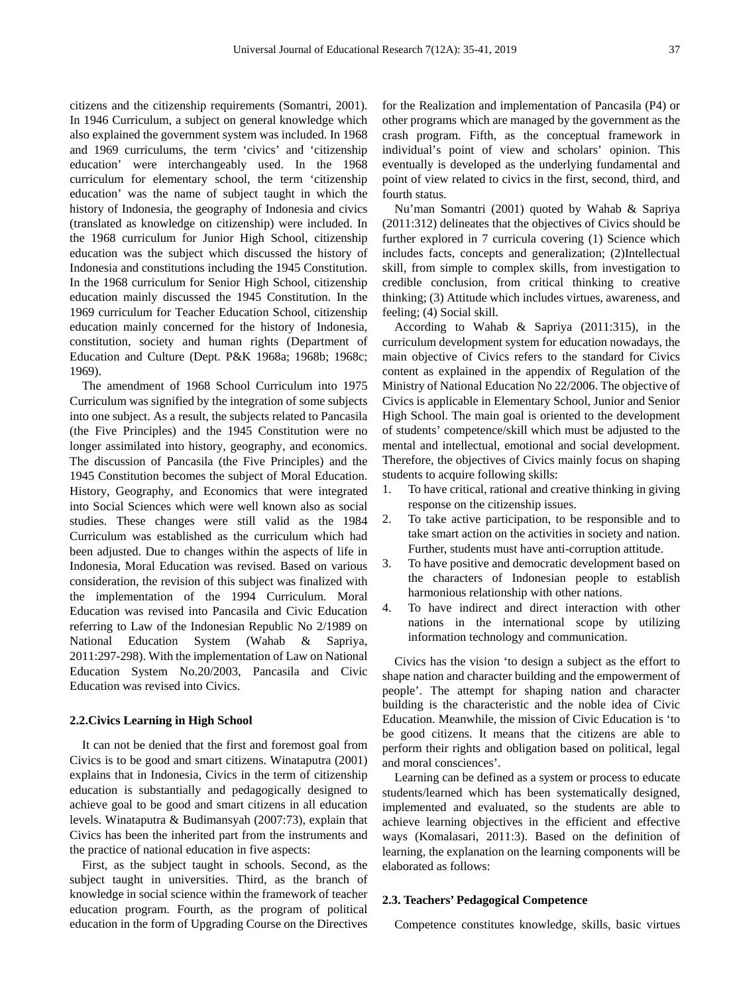citizens and the citizenship requirements (Somantri, 2001). In 1946 Curriculum, a subject on general knowledge which also explained the government system was included. In 1968 and 1969 curriculums, the term 'civics' and 'citizenship education' were interchangeably used. In the 1968 curriculum for elementary school, the term 'citizenship education' was the name of subject taught in which the history of Indonesia, the geography of Indonesia and civics (translated as knowledge on citizenship) were included. In the 1968 curriculum for Junior High School, citizenship education was the subject which discussed the history of Indonesia and constitutions including the 1945 Constitution. In the 1968 curriculum for Senior High School, citizenship education mainly discussed the 1945 Constitution. In the 1969 curriculum for Teacher Education School, citizenship education mainly concerned for the history of Indonesia, constitution, society and human rights (Department of Education and Culture (Dept. P&K 1968a; 1968b; 1968c; 1969).

The amendment of 1968 School Curriculum into 1975 Curriculum was signified by the integration of some subjects into one subject. As a result, the subjects related to Pancasila (the Five Principles) and the 1945 Constitution were no longer assimilated into history, geography, and economics. The discussion of Pancasila (the Five Principles) and the 1945 Constitution becomes the subject of Moral Education. History, Geography, and Economics that were integrated into Social Sciences which were well known also as social studies. These changes were still valid as the 1984 Curriculum was established as the curriculum which had been adjusted. Due to changes within the aspects of life in Indonesia, Moral Education was revised. Based on various consideration, the revision of this subject was finalized with the implementation of the 1994 Curriculum. Moral Education was revised into Pancasila and Civic Education referring to Law of the Indonesian Republic No 2/1989 on National Education System (Wahab & Sapriya, 2011:297-298). With the implementation of Law on National Education System No.20/2003, Pancasila and Civic Education was revised into Civics.

#### **2.2.Civics Learning in High School**

It can not be denied that the first and foremost goal from Civics is to be good and smart citizens. Winataputra (2001) explains that in Indonesia, Civics in the term of citizenship education is substantially and pedagogically designed to achieve goal to be good and smart citizens in all education levels. Winataputra & Budimansyah (2007:73), explain that Civics has been the inherited part from the instruments and the practice of national education in five aspects:

First, as the subject taught in schools. Second, as the subject taught in universities. Third, as the branch of knowledge in social science within the framework of teacher education program. Fourth, as the program of political education in the form of Upgrading Course on the Directives for the Realization and implementation of Pancasila (P4) or other programs which are managed by the government as the crash program. Fifth, as the conceptual framework in individual's point of view and scholars' opinion. This eventually is developed as the underlying fundamental and point of view related to civics in the first, second, third, and fourth status.

Nu'man Somantri (2001) quoted by Wahab & Sapriya (2011:312) delineates that the objectives of Civics should be further explored in 7 curricula covering (1) Science which includes facts, concepts and generalization; (2)Intellectual skill, from simple to complex skills, from investigation to credible conclusion, from critical thinking to creative thinking; (3) Attitude which includes virtues, awareness, and feeling; (4) Social skill.

According to Wahab & Sapriya (2011:315), in the curriculum development system for education nowadays, the main objective of Civics refers to the standard for Civics content as explained in the appendix of Regulation of the Ministry of National Education No 22/2006. The objective of Civics is applicable in Elementary School, Junior and Senior High School. The main goal is oriented to the development of students' competence/skill which must be adjusted to the mental and intellectual, emotional and social development. Therefore, the objectives of Civics mainly focus on shaping students to acquire following skills:

- 1. To have critical, rational and creative thinking in giving response on the citizenship issues.
- 2. To take active participation, to be responsible and to take smart action on the activities in society and nation. Further, students must have anti-corruption attitude.
- 3. To have positive and democratic development based on the characters of Indonesian people to establish harmonious relationship with other nations.
- 4. To have indirect and direct interaction with other nations in the international scope by utilizing information technology and communication.

Civics has the vision 'to design a subject as the effort to shape nation and character building and the empowerment of people'. The attempt for shaping nation and character building is the characteristic and the noble idea of Civic Education. Meanwhile, the mission of Civic Education is 'to be good citizens. It means that the citizens are able to perform their rights and obligation based on political, legal and moral consciences'.

Learning can be defined as a system or process to educate students/learned which has been systematically designed, implemented and evaluated, so the students are able to achieve learning objectives in the efficient and effective ways (Komalasari, 2011:3). Based on the definition of learning, the explanation on the learning components will be elaborated as follows:

#### **2.3. Teachers' Pedagogical Competence**

Competence constitutes knowledge, skills, basic virtues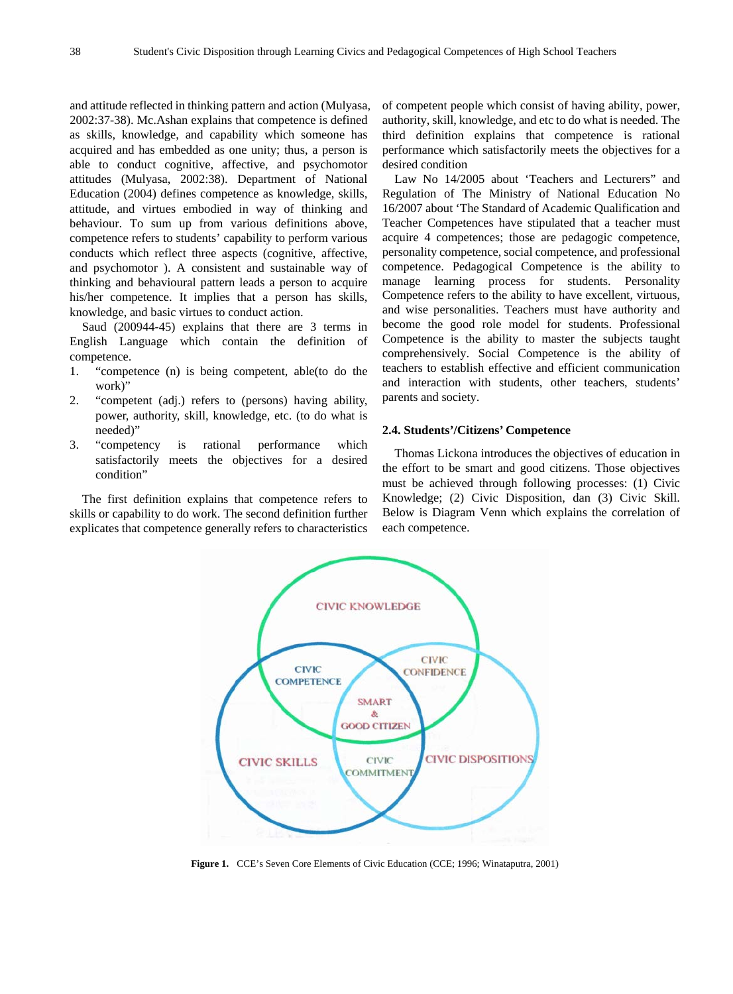and attitude reflected in thinking pattern and action (Mulyasa, 2002:37-38). Mc.Ashan explains that competence is defined as skills, knowledge, and capability which someone has acquired and has embedded as one unity; thus, a person is able to conduct cognitive, affective, and psychomotor attitudes (Mulyasa, 2002:38). Department of National Education (2004) defines competence as knowledge, skills, attitude, and virtues embodied in way of thinking and behaviour. To sum up from various definitions above, competence refers to students' capability to perform various conducts which reflect three aspects (cognitive, affective, and psychomotor ). A consistent and sustainable way of thinking and behavioural pattern leads a person to acquire his/her competence. It implies that a person has skills, knowledge, and basic virtues to conduct action.

Saud (200944-45) explains that there are 3 terms in English Language which contain the definition of competence.

- 1. "competence (n) is being competent, able(to do the work)"
- 2. "competent (adj.) refers to (persons) having ability, power, authority, skill, knowledge, etc. (to do what is needed)"
- 3. "competency is rational performance which satisfactorily meets the objectives for a desired condition"

The first definition explains that competence refers to skills or capability to do work. The second definition further explicates that competence generally refers to characteristics of competent people which consist of having ability, power, authority, skill, knowledge, and etc to do what is needed. The third definition explains that competence is rational performance which satisfactorily meets the objectives for a desired condition

Law No 14/2005 about 'Teachers and Lecturers" and Regulation of The Ministry of National Education No 16/2007 about 'The Standard of Academic Qualification and Teacher Competences have stipulated that a teacher must acquire 4 competences; those are pedagogic competence, personality competence, social competence, and professional competence. Pedagogical Competence is the ability to manage learning process for students. Personality Competence refers to the ability to have excellent, virtuous, and wise personalities. Teachers must have authority and become the good role model for students. Professional Competence is the ability to master the subjects taught comprehensively. Social Competence is the ability of teachers to establish effective and efficient communication and interaction with students, other teachers, students' parents and society.

#### **2.4. Students'/Citizens' Competence**

Thomas Lickona introduces the objectives of education in the effort to be smart and good citizens. Those objectives must be achieved through following processes: (1) Civic Knowledge; (2) Civic Disposition, dan (3) Civic Skill. Below is Diagram Venn which explains the correlation of each competence.



**Figure 1.** CCE's Seven Core Elements of Civic Education (CCE; 1996; Winataputra, 2001)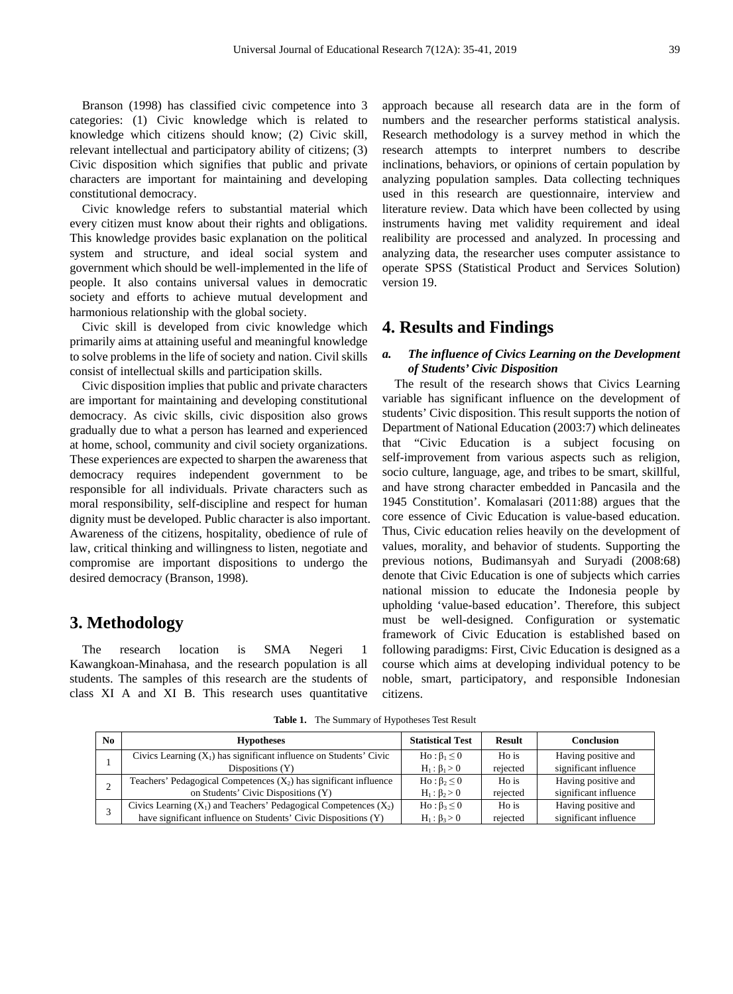Branson (1998) has classified civic competence into 3 categories: (1) Civic knowledge which is related to knowledge which citizens should know; (2) Civic skill, relevant intellectual and participatory ability of citizens; (3) Civic disposition which signifies that public and private characters are important for maintaining and developing constitutional democracy.

Civic knowledge refers to substantial material which every citizen must know about their rights and obligations. This knowledge provides basic explanation on the political system and structure, and ideal social system and government which should be well-implemented in the life of people. It also contains universal values in democratic society and efforts to achieve mutual development and harmonious relationship with the global society.

Civic skill is developed from civic knowledge which primarily aims at attaining useful and meaningful knowledge to solve problems in the life of society and nation. Civil skills consist of intellectual skills and participation skills.

Civic disposition implies that public and private characters are important for maintaining and developing constitutional democracy. As civic skills, civic disposition also grows gradually due to what a person has learned and experienced at home, school, community and civil society organizations. These experiences are expected to sharpen the awareness that democracy requires independent government to be responsible for all individuals. Private characters such as moral responsibility, self-discipline and respect for human dignity must be developed. Public character is also important. Awareness of the citizens, hospitality, obedience of rule of law, critical thinking and willingness to listen, negotiate and compromise are important dispositions to undergo the desired democracy (Branson, 1998).

## **3. Methodology**

The research location is SMA Negeri 1 Kawangkoan-Minahasa, and the research population is all students. The samples of this research are the students of class XI A and XI B. This research uses quantitative approach because all research data are in the form of numbers and the researcher performs statistical analysis. Research methodology is a survey method in which the research attempts to interpret numbers to describe inclinations, behaviors, or opinions of certain population by analyzing population samples. Data collecting techniques used in this research are questionnaire, interview and literature review. Data which have been collected by using instruments having met validity requirement and ideal realibility are processed and analyzed. In processing and analyzing data, the researcher uses computer assistance to operate SPSS (Statistical Product and Services Solution) version 19.

## **4. Results and Findings**

#### *a. The influence of Civics Learning on the Development of Students' Civic Disposition*

The result of the research shows that Civics Learning variable has significant influence on the development of students' Civic disposition. This result supports the notion of Department of National Education (2003:7) which delineates that "Civic Education is a subject focusing on self-improvement from various aspects such as religion, socio culture, language, age, and tribes to be smart, skillful, and have strong character embedded in Pancasila and the 1945 Constitution'. Komalasari (2011:88) argues that the core essence of Civic Education is value-based education. Thus, Civic education relies heavily on the development of values, morality, and behavior of students. Supporting the previous notions, Budimansyah and Suryadi (2008:68) denote that Civic Education is one of subjects which carries national mission to educate the Indonesia people by upholding 'value-based education'. Therefore, this subject must be well-designed. Configuration or systematic framework of Civic Education is established based on following paradigms: First, Civic Education is designed as a course which aims at developing individual potency to be noble, smart, participatory, and responsible Indonesian citizens.

**Table 1.** The Summary of Hypotheses Test Result

| No. | <b>Hypotheses</b>                                                     | <b>Statistical Test</b> | <b>Result</b> | <b>Conclusion</b>     |
|-----|-----------------------------------------------------------------------|-------------------------|---------------|-----------------------|
|     | Civics Learning $(X_1)$ has significant influence on Students' Civic  | $Ho: \beta_1 \leq 0$    | Ho is         | Having positive and   |
|     | Dispositions $(Y)$                                                    | $H_1: \beta_1 > 0$      | rejected      | significant influence |
|     | Teachers' Pedagogical Competences $(X_2)$ has significant influence   | $H_0: \beta_2 \leq 0$   | Ho is         | Having positive and   |
|     | on Students' Civic Dispositions (Y)                                   | $H_1: \beta_2 > 0$      | rejected      | significant influence |
|     | Civics Learning $(X_1)$ and Teachers' Pedagogical Competences $(X_2)$ | $H_0: \beta_3 \leq 0$   | Ho is         | Having positive and   |
|     | have significant influence on Students' Civic Dispositions (Y)        | $H_1: \beta_3 > 0$      | rejected      | significant influence |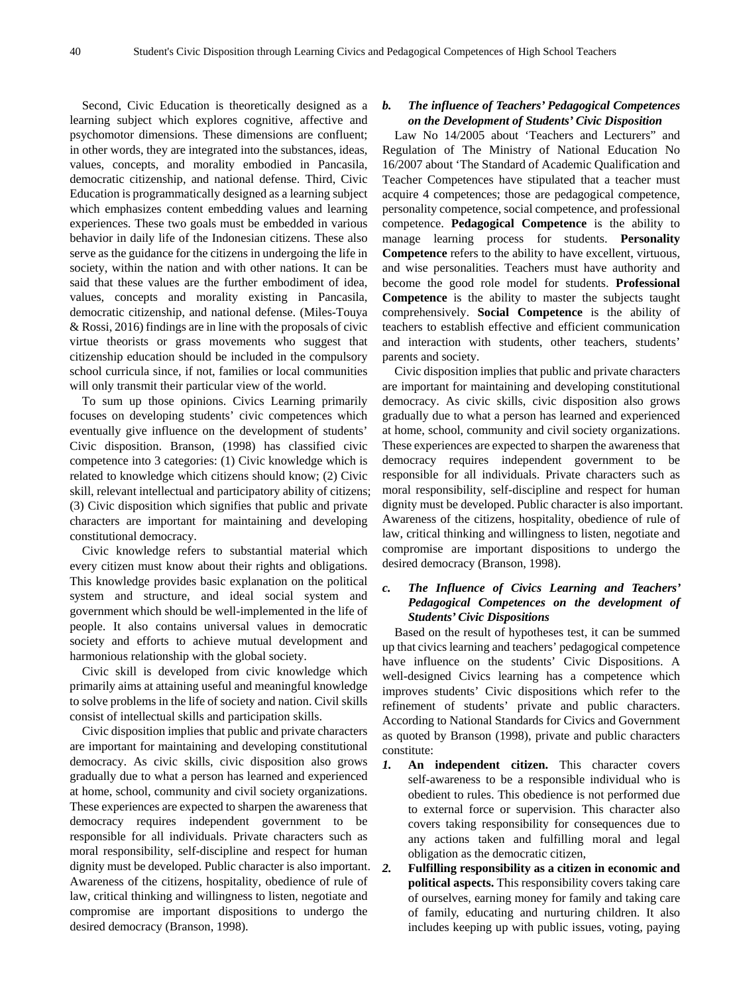Second, Civic Education is theoretically designed as a learning subject which explores cognitive, affective and psychomotor dimensions. These dimensions are confluent; in other words, they are integrated into the substances, ideas, values, concepts, and morality embodied in Pancasila, democratic citizenship, and national defense. Third, Civic Education is programmatically designed as a learning subject which emphasizes content embedding values and learning experiences. These two goals must be embedded in various behavior in daily life of the Indonesian citizens. These also serve as the guidance for the citizens in undergoing the life in society, within the nation and with other nations. It can be said that these values are the further embodiment of idea, values, concepts and morality existing in Pancasila, democratic citizenship, and national defense. (Miles-Touya & Rossi, 2016) findings are in line with the proposals of civic virtue theorists or grass movements who suggest that citizenship education should be included in the compulsory school curricula since, if not, families or local communities will only transmit their particular view of the world.

To sum up those opinions. Civics Learning primarily focuses on developing students' civic competences which eventually give influence on the development of students' Civic disposition. Branson, (1998) has classified civic competence into 3 categories: (1) Civic knowledge which is related to knowledge which citizens should know; (2) Civic skill, relevant intellectual and participatory ability of citizens; (3) Civic disposition which signifies that public and private characters are important for maintaining and developing constitutional democracy.

Civic knowledge refers to substantial material which every citizen must know about their rights and obligations. This knowledge provides basic explanation on the political system and structure, and ideal social system and government which should be well-implemented in the life of people. It also contains universal values in democratic society and efforts to achieve mutual development and harmonious relationship with the global society.

Civic skill is developed from civic knowledge which primarily aims at attaining useful and meaningful knowledge to solve problems in the life of society and nation. Civil skills consist of intellectual skills and participation skills.

Civic disposition implies that public and private characters are important for maintaining and developing constitutional democracy. As civic skills, civic disposition also grows gradually due to what a person has learned and experienced at home, school, community and civil society organizations. These experiences are expected to sharpen the awareness that democracy requires independent government to be responsible for all individuals. Private characters such as moral responsibility, self-discipline and respect for human dignity must be developed. Public character is also important. Awareness of the citizens, hospitality, obedience of rule of law, critical thinking and willingness to listen, negotiate and compromise are important dispositions to undergo the desired democracy (Branson, 1998).

### *b. The influence of Teachers' Pedagogical Competences on the Development of Students' Civic Disposition*

Law No 14/2005 about 'Teachers and Lecturers" and Regulation of The Ministry of National Education No 16/2007 about 'The Standard of Academic Qualification and Teacher Competences have stipulated that a teacher must acquire 4 competences; those are pedagogical competence, personality competence, social competence, and professional competence. **Pedagogical Competence** is the ability to manage learning process for students. **Personality Competence** refers to the ability to have excellent, virtuous, and wise personalities. Teachers must have authority and become the good role model for students. **Professional Competence** is the ability to master the subjects taught comprehensively. **Social Competence** is the ability of teachers to establish effective and efficient communication and interaction with students, other teachers, students' parents and society.

Civic disposition implies that public and private characters are important for maintaining and developing constitutional democracy. As civic skills, civic disposition also grows gradually due to what a person has learned and experienced at home, school, community and civil society organizations. These experiences are expected to sharpen the awareness that democracy requires independent government to be responsible for all individuals. Private characters such as moral responsibility, self-discipline and respect for human dignity must be developed. Public character is also important. Awareness of the citizens, hospitality, obedience of rule of law, critical thinking and willingness to listen, negotiate and compromise are important dispositions to undergo the desired democracy (Branson, 1998).

## *c. The Influence of Civics Learning and Teachers' Pedagogical Competences on the development of Students' Civic Dispositions*

Based on the result of hypotheses test, it can be summed up that civics learning and teachers' pedagogical competence have influence on the students' Civic Dispositions. A well-designed Civics learning has a competence which improves students' Civic dispositions which refer to the refinement of students' private and public characters. According to National Standards for Civics and Government as quoted by Branson (1998), private and public characters constitute:

- *1.* **An independent citizen.** This character covers self-awareness to be a responsible individual who is obedient to rules. This obedience is not performed due to external force or supervision. This character also covers taking responsibility for consequences due to any actions taken and fulfilling moral and legal obligation as the democratic citizen,
- *2.* **Fulfilling responsibility as a citizen in economic and political aspects.** This responsibility covers taking care of ourselves, earning money for family and taking care of family, educating and nurturing children. It also includes keeping up with public issues, voting, paying